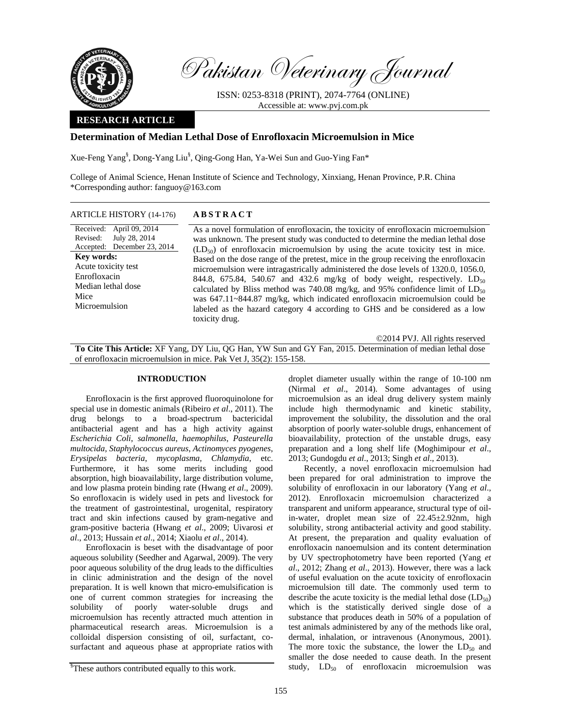

Pakistan Veterinary Journal

ISSN: 0253-8318 (PRINT), 2074-7764 (ONLINE) Accessible at: www.pvj.com.pk

## **RESEARCH ARTICLE**

# **Determination of Median Lethal Dose of Enrofloxacin Microemulsion in Mice**

Xue-Feng Yang§ , Dong-Yang Liu§ , Qing-Gong Han, Ya-Wei Sun and Guo-Ying Fan\*

College of Animal Science, Henan Institute of Science and Technology, Xinxiang, Henan Province, P.R. China \*Corresponding author: fanguoy@163.com

### ARTICLE HISTORY (14-176) **ABSTRACT**

Received: April 09, 2014 Revised: Accepted: December 23, 2014 July 28, 2014 **Key words:**  Acute toxicity test Enrofloxacin Median lethal dose Mice Microemulsion

 As a novel formulation of enrofloxacin, the toxicity of enrofloxacin microemulsion was unknown. The present study was conducted to determine the median lethal dose  $(LD_{50})$  of enrofloxacin microemulsion by using the acute toxicity test in mice. Based on the dose range of the pretest, mice in the group receiving the enrofloxacin microemulsion were intragastrically administered the dose levels of 1320.0, 1056.0, 844.8, 675.84, 540.67 and 432.6 mg/kg of body weight, respectively.  $LD_{50}$ calculated by Bliss method was 740.08 mg/kg, and 95% confidence limit of  $LD_{50}$ was 647.11~844.87 mg/kg, which indicated enrofloxacin microemulsion could be labeled as the hazard category 4 according to GHS and be considered as a low toxicity drug.

©2014 PVJ. All rights reserved

**To Cite This Article:** XF Yang, DY Liu, QG Han, YW Sun and GY Fan, 2015. Determination of median lethal dose of enrofloxacin microemulsion in mice. Pak Vet J, 35(2): 155-158.

## **INTRODUCTION**

Enrofloxacin is the first approved fluoroquinolone for special use in domestic animals (Ribeiro *et al*., 2011). The drug belongs to a broad-spectrum bactericidal antibacterial agent and has a high activity against *Escherichia Coli*, *salmonella*, *haemophilus*, *Pasteurella multocida*, *Staphylococcus aureus*, *Actinomyces pyogenes*, *Erysipelas bacteria*, *mycoplasma, Chlamydia*, etc. Furthermore, it has some merits including good absorption, high bioavailability, large distribution volume, and low plasma protein binding rate (Hwang *et al*., 2009). So enrofloxacin is widely used in pets and livestock for the treatment of gastrointestinal, urogenital, respiratory tract and skin infections caused by gram-negative and gram-positive bacteria (Hwang *et al*., 2009; Uivarosi *et al*., 2013; Hussain *et al*., 2014; Xiaolu *et al*., 2014).

Enrofloxacin is beset with the disadvantage of poor aqueous solubility (Seedher and Agarwal, 2009). The very poor aqueous solubility of the drug leads to the difficulties in clinic administration and the design of the novel preparation. It is well known that micro-emulsification is one of current common strategies for increasing the solubility of poorly water-soluble drugs and microemulsion has recently attracted much attention in pharmaceutical research areas. Microemulsion is a colloidal dispersion consisting of oil, surfactant, cosurfactant and aqueous phase at appropriate ratios with droplet diameter usually within the range of 10-100 nm (Nirmal *et al*., 2014). Some advantages of using microemulsion as an ideal drug delivery system mainly include high thermodynamic and kinetic stability, improvement the solubility, the dissolution and the oral absorption of poorly water-soluble drugs, enhancement of bioavailability, protection of the unstable drugs, easy preparation and a long shelf life (Moghimipour *et al*., 2013; Gundogdu *et al*., 2013; Singh *et al*., 2013).

Recently, a novel enrofloxacin microemulsion had been prepared for oral administration to improve the solubility of enrofloxacin in our laboratory (Yang *et al*., 2012). Enrofloxacin microemulsion characterized a transparent and uniform appearance, structural type of oilin-water, droplet mean size of 22.45±2.92nm, high solubility, strong antibacterial activity and good stability. At present, the preparation and quality evaluation of enrofloxacin nanoemulsion and its content determination by UV spectrophotometry have been reported (Yang *et al*., 2012; Zhang *et al*., 2013). However, there was a lack of useful evaluation on the acute toxicity of enrofloxacin microemulsion till date. The commonly used term to describe the acute toxicity is the medial lethal dose  $(LD_{50})$ which is the statistically derived single dose of a substance that produces death in 50% of a population of test animals administered by any of the methods like oral, dermal, inhalation, or intravenous (Anonymous, 2001). The more toxic the substance, the lower the  $LD_{50}$  and smaller the dose needed to cause death. In the present study,  $LD_{50}$  of enrofloxacin microemulsion was

<sup>&</sup>lt;sup>§</sup>These authors contributed equally to this work.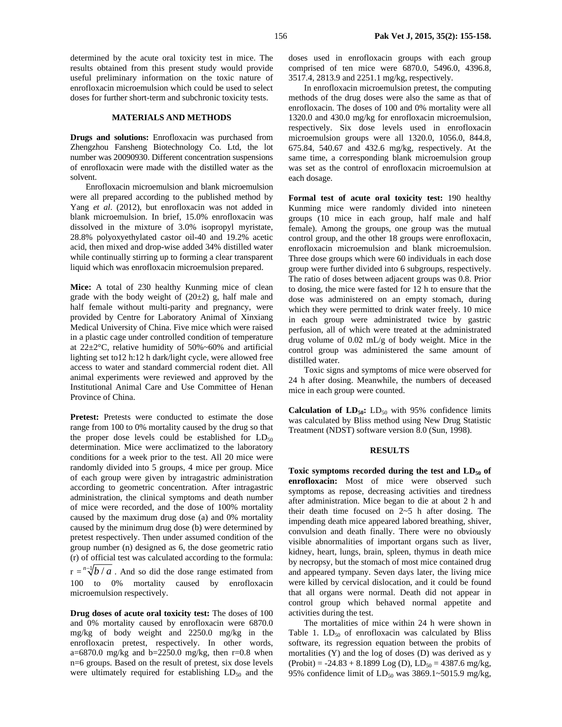determined by the acute oral toxicity test in mice. The results obtained from this present study would provide useful preliminary information on the toxic nature of enrofloxacin microemulsion which could be used to select doses for further short-term and subchronic toxicity tests.

## **MATERIALS AND METHODS**

**Drugs and solutions:** Enrofloxacin was purchased from Zhengzhou Fansheng Biotechnology Co. Ltd, the lot number was 20090930. Different concentration suspensions of enrofloxacin were made with the distilled water as the solvent.

Enrofloxacin microemulsion and blank microemulsion were all prepared according to the published method by Yang *et al*. (2012), but enrofloxacin was not added in blank microemulsion. In brief, 15.0% enrofloxacin was dissolved in the mixture of 3.0% isopropyl myristate, 28.8% polyoxyethylated castor oil-40 and 19.2% acetic acid, then mixed and drop-wise added 34% distilled water while continually stirring up to forming a clear transparent liquid which was enrofloxacin microemulsion prepared.

**Mice:** A total of 230 healthy Kunming mice of clean grade with the body weight of  $(20±2)$  g, half male and half female without multi-parity and pregnancy, were provided by Centre for Laboratory Animal of Xinxiang Medical University of China. Five mice which were raised in a plastic cage under controlled condition of temperature at  $22 \pm 2^{\circ}$ C, relative humidity of 50%~60% and artificial lighting set to12 h:12 h dark/light cycle, were allowed free access to water and standard commercial rodent diet. All animal experiments were reviewed and approved by the Institutional Animal Care and Use Committee of Henan Province of China.

**Pretest:** Pretests were conducted to estimate the dose range from 100 to 0% mortality caused by the drug so that the proper dose levels could be established for  $LD_{50}$ determination. Mice were acclimatized to the laboratory conditions for a week prior to the test. All 20 mice were randomly divided into 5 groups, 4 mice per group. Mice of each group were given by intragastric administration according to geometric concentration. After intragastric administration, the clinical symptoms and death number of mice were recorded, and the dose of 100% mortality caused by the maximum drug dose (a) and 0% mortality caused by the minimum drug dose (b) were determined by pretest respectively. Then under assumed condition of the group number (n) designed as 6, the dose geometric ratio (r) of official test was calculated according to the formula:  $r = \sqrt[n-1]{b/a}$ . And so did the dose range estimated from 100 to 0% mortality caused by enrofloxacin microemulsion respectively.

**Drug doses of acute oral toxicity test:** The doses of 100 and 0% mortality caused by enrofloxacin were 6870.0 mg/kg of body weight and 2250.0 mg/kg in the enrofloxacin pretest, respectively. In other words, a=6870.0 mg/kg and b=2250.0 mg/kg, then  $r=0.8$  when n=6 groups. Based on the result of pretest, six dose levels were ultimately required for establishing  $LD_{50}$  and the

doses used in enrofloxacin groups with each group comprised of ten mice were 6870.0, 5496.0, 4396.8, 3517.4, 2813.9 and 2251.1 mg/kg, respectively.

In enrofloxacin microemulsion pretest, the computing methods of the drug doses were also the same as that of enrofloxacin. The doses of 100 and 0% mortality were all 1320.0 and 430.0 mg/kg for enrofloxacin microemulsion, respectively. Six dose levels used in enrofloxacin microemulsion groups were all 1320.0, 1056.0, 844.8, 675.84, 540.67 and 432.6 mg/kg, respectively. At the same time, a corresponding blank microemulsion group was set as the control of enrofloxacin microemulsion at each dosage.

**Formal test of acute oral toxicity test:** 190 healthy Kunming mice were randomly divided into nineteen groups (10 mice in each group, half male and half female). Among the groups, one group was the mutual control group, and the other 18 groups were enrofloxacin, enrofloxacin microemulsion and blank microemulsion. Three dose groups which were 60 individuals in each dose group were further divided into 6 subgroups, respectively. The ratio of doses between adjacent groups was 0.8. Prior to dosing, the mice were fasted for 12 h to ensure that the dose was administered on an empty stomach, during which they were permitted to drink water freely. 10 mice in each group were administrated twice by gastric perfusion, all of which were treated at the administrated drug volume of 0.02 mL/g of body weight. Mice in the control group was administered the same amount of distilled water.

Toxic signs and symptoms of mice were observed for 24 h after dosing. Meanwhile, the numbers of deceased mice in each group were counted.

**Calculation of**  $LD_{50}$ **:**  $LD_{50}$  with 95% confidence limits was calculated by Bliss method using New Drug Statistic Treatment (NDST) software version 8.0 (Sun, 1998).

#### **RESULTS**

Toxic symptoms recorded during the test and LD<sub>50</sub> of **enrofloxacin:** Most of mice were observed such symptoms as repose, decreasing activities and tiredness after administration. Mice began to die at about 2 h and their death time focused on 2~5 h after dosing. The impending death mice appeared labored breathing, shiver, convulsion and death finally. There were no obviously visible abnormalities of important organs such as liver, kidney, heart, lungs, brain, spleen, thymus in death mice by necropsy, but the stomach of most mice contained drug and appeared tympany. Seven days later, the living mice were killed by cervical dislocation, and it could be found that all organs were normal. Death did not appear in control group which behaved normal appetite and activities during the test.

The mortalities of mice within 24 h were shown in Table 1.  $LD_{50}$  of enrofloxacin was calculated by Bliss software, its regression equation between the probits of mortalities (Y) and the log of doses (D) was derived as y  $(Probability) = -24.83 + 8.1899$  Log (D), LD<sub>50</sub> = 4387.6 mg/kg, 95% confidence limit of  $LD_{50}$  was 3869.1~5015.9 mg/kg,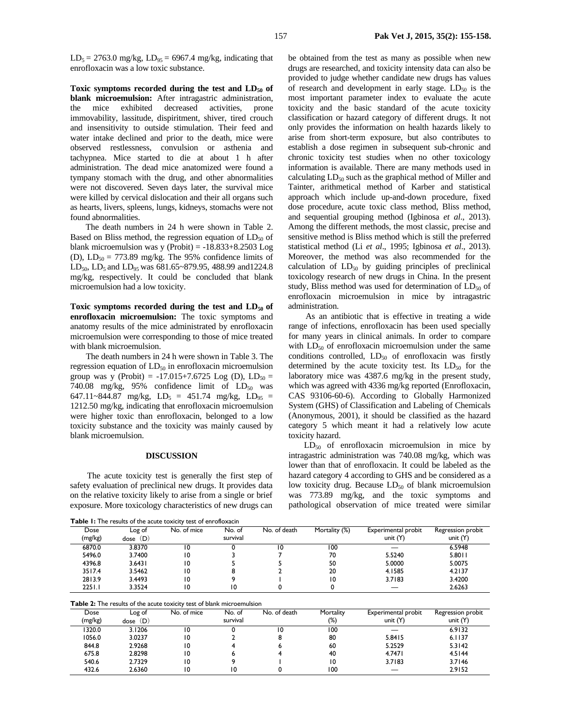$LD_5 = 2763.0$  mg/kg,  $LD_{95} = 6967.4$  mg/kg, indicating that enrofloxacin was a low toxic substance.

Toxic symptoms recorded during the test and LD<sub>50</sub> of **blank microemulsion:** After intragastric administration, the mice exhibited decreased activities, prone immovability, lassitude, dispiritment, shiver, tired crouch and insensitivity to outside stimulation. Their feed and water intake declined and prior to the death, mice were observed restlessness, convulsion or asthenia and tachypnea. Mice started to die at about 1 h after administration. The dead mice anatomized were found a tympany stomach with the drug, and other abnormalities were not discovered. Seven days later, the survival mice were killed by cervical dislocation and their all organs such as hearts, livers, spleens, lungs, kidneys, stomachs were not found abnormalities.

The death numbers in 24 h were shown in Table 2. Based on Bliss method, the regression equation of  $LD_{50}$  of blank microemulsion was y (Probit)  $= -18.833 + 8.2503$  Log (D),  $LD_{50} = 773.89$  mg/kg. The 95% confidence limits of LD<sub>50</sub>, LD<sub>5</sub> and LD<sub>95</sub> was 681.65~879.95, 488.99 and1224.8 mg/kg, respectively. It could be concluded that blank microemulsion had a low toxicity.

Toxic symptoms recorded during the test and  $LD_{50}$  of **enrofloxacin microemulsion:** The toxic symptoms and anatomy results of the mice administrated by enrofloxacin microemulsion were corresponding to those of mice treated with blank microemulsion.

The death numbers in 24 h were shown in Table 3. The regression equation of  $LD_{50}$  in enrofloxacin microemulsion group was y (Probit) = -17.015+7.6725 Log (D),  $LD_{50}$  = 740.08 mg/kg, 95% confidence limit of  $LD_{50}$  was 647.11~844.87 mg/kg, LD<sub>5</sub> = 451.74 mg/kg, LD<sub>95</sub> = 1212.50 mg/kg, indicating that enrofloxacin microemulsion were higher toxic than enrofloxacin, belonged to a low toxicity substance and the toxicity was mainly caused by blank microemulsion.

#### **DISCUSSION**

The acute toxicity test is generally the first step of safety evaluation of preclinical new drugs. It provides data on the relative toxicity likely to arise from a single or brief exposure. More toxicology characteristics of new drugs can

**Table 1:** The results of the acute toxicity test of enrofloxacin

| be obtained from the test as many as possible when new                  |
|-------------------------------------------------------------------------|
| drugs are researched, and toxicity intensity data can also be           |
| provided to judge whether candidate new drugs has values                |
| of research and development in early stage. $LD_{50}$ is the            |
| most important parameter index to evaluate the acute                    |
| toxicity and the basic standard of the acute toxicity                   |
| classification or hazard category of different drugs. It not            |
| only provides the information on health hazards likely to               |
| arise from short-term exposure, but also contributes to                 |
| establish a dose regimen in subsequent sub-chronic and                  |
| chronic toxicity test studies when no other toxicology                  |
| information is available. There are many methods used in                |
| calculating LD <sub>50</sub> such as the graphical method of Miller and |
| Tainter, arithmetical method of Karber and statistical                  |
| approach which include up-and-down procedure, fixed                     |
| dose procedure, acute toxic class method, Bliss method,                 |
| and sequential grouping method (Igbinosa et al., 2013).                 |
| Among the different methods, the most classic, precise and              |
| sensitive method is Bliss method which is still the preferred           |
| statistical method (Li et al., 1995; Igbinosa et al., 2013).            |
| Moreover, the method was also recommended for the                       |
| calculation of $LD_{50}$ by guiding principles of preclinical           |
| toxicology research of new drugs in China. In the present               |
| study, Bliss method was used for determination of $LD_{50}$ of          |
| enrofloxacin microemulsion in mice by intragastric                      |
| administration.                                                         |

As an antibiotic that is effective in treating a wide range of infections, enrofloxacin has been used specially for many years in clinical animals. In order to compare with  $LD_{50}$  of enrofloxacin microemulsion under the same conditions controlled,  $LD_{50}$  of enrofloxacin was firstly determined by the acute toxicity test. Its  $LD_{50}$  for the laboratory mice was 4387.6 mg/kg in the present study, which was agreed with 4336 mg/kg reported (Enrofloxacin, CAS 93106-60-6). According to Globally Harmonized System (GHS) of Classification and Labeling of Chemicals (Anonymous, 2001), it should be classified as the hazard category 5 which meant it had a relatively low acute toxicity hazard.

 $LD_{50}$  of enrofloxacin microemulsion in mice by intragastric administration was 740.08 mg/kg, which was lower than that of enrofloxacin. It could be labeled as the hazard category 4 according to GHS and be considered as a low toxicity drug. Because  $LD_{50}$  of blank microemulsion was 773.89 mg/kg, and the toxic symptoms and pathological observation of mice treated were similar

| <b>Table II</b> The Federal of the acate toxicity test of em onoxacin |            |             |          |              |               |                     |                   |
|-----------------------------------------------------------------------|------------|-------------|----------|--------------|---------------|---------------------|-------------------|
| Dose                                                                  | Log of     | No. of mice | No. of   | No. of death | Mortality (%) | Experimental probit | Regression probit |
| (mg/kg)                                                               | $dose$ (D) |             | survival |              |               | unit $(Y)$          | unit $(Y)$        |
| 6870.0                                                                | 3.8370     |             |          | 10           | 100           |                     | 6.5948            |
| 5496.0                                                                | 3.7400     | 10          |          |              | 70            | 5.5240              | 5.8011            |
| 4396.8                                                                | 3.6431     | 10          |          |              | 50            | 5.0000              | 5.0075            |
| 3517.4                                                                | 3.5462     | 10          |          |              | 20            | 4.1585              | 4.2137            |
| 2813.9                                                                | 3.4493     | 10          |          |              |               | 3.7183              | 3.4200            |
| 2251.1                                                                | 3.3524     | ١0          | 10       |              |               |                     | 2.6263            |

**Table 2:** The results of the acute toxicity test of blank microemulsion

| Dose    | Log of  | No. of mice | No. of   | No. of death | Mortality | Experimental probit | Regression probit |
|---------|---------|-------------|----------|--------------|-----------|---------------------|-------------------|
| (mg/kg) | dose(D) |             | survival |              | (%)       | unit $(Y)$          | unit $(Y)$        |
| 1320.0  | 3.1206  | 10          |          | 10           | 100       |                     | 6.9132            |
| 1056.0  | 3.0237  | 10          |          |              | 80        | 5.8415              | 6.1137            |
| 844.8   | 2.9268  | 10          |          |              | 60        | 5.2529              | 5.3142            |
| 675.8   | 2.8298  | 10          |          |              | 40        | 4.7471              | 4.5144            |
| 540.6   | 2.7329  | 10          |          |              | 10        | 3.7183              | 3.7146            |
| 432.6   | 2.6360  | 10          | ۱0       |              | 100       |                     | 2.9152            |